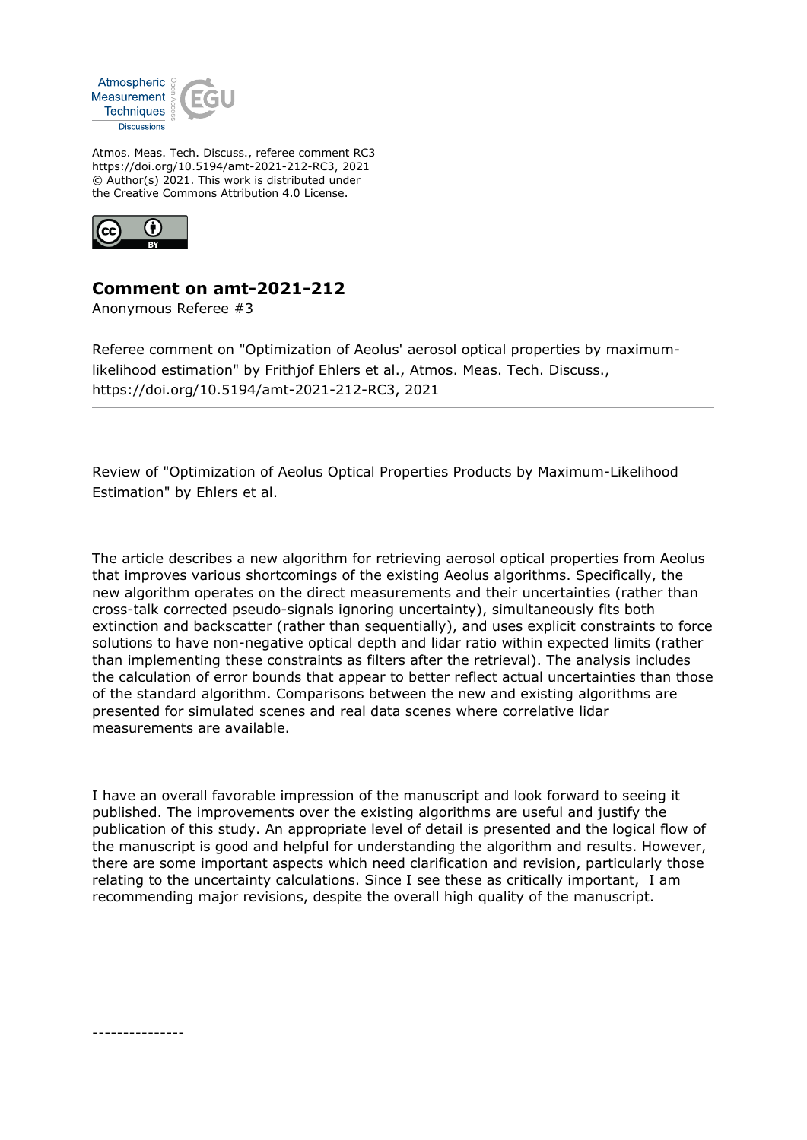

Atmos. Meas. Tech. Discuss., referee comment RC3 https://doi.org/10.5194/amt-2021-212-RC3, 2021 © Author(s) 2021. This work is distributed under the Creative Commons Attribution 4.0 License.



## **Comment on amt-2021-212**

Anonymous Referee #3

Referee comment on "Optimization of Aeolus' aerosol optical properties by maximumlikelihood estimation" by Frithjof Ehlers et al., Atmos. Meas. Tech. Discuss., https://doi.org/10.5194/amt-2021-212-RC3, 2021

Review of "Optimization of Aeolus Optical Properties Products by Maximum-Likelihood Estimation" by Ehlers et al.

The article describes a new algorithm for retrieving aerosol optical properties from Aeolus that improves various shortcomings of the existing Aeolus algorithms. Specifically, the new algorithm operates on the direct measurements and their uncertainties (rather than cross-talk corrected pseudo-signals ignoring uncertainty), simultaneously fits both extinction and backscatter (rather than sequentially), and uses explicit constraints to force solutions to have non-negative optical depth and lidar ratio within expected limits (rather than implementing these constraints as filters after the retrieval). The analysis includes the calculation of error bounds that appear to better reflect actual uncertainties than those of the standard algorithm. Comparisons between the new and existing algorithms are presented for simulated scenes and real data scenes where correlative lidar measurements are available.

I have an overall favorable impression of the manuscript and look forward to seeing it published. The improvements over the existing algorithms are useful and justify the publication of this study. An appropriate level of detail is presented and the logical flow of the manuscript is good and helpful for understanding the algorithm and results. However, there are some important aspects which need clarification and revision, particularly those relating to the uncertainty calculations. Since I see these as critically important, I am recommending major revisions, despite the overall high quality of the manuscript.

---------------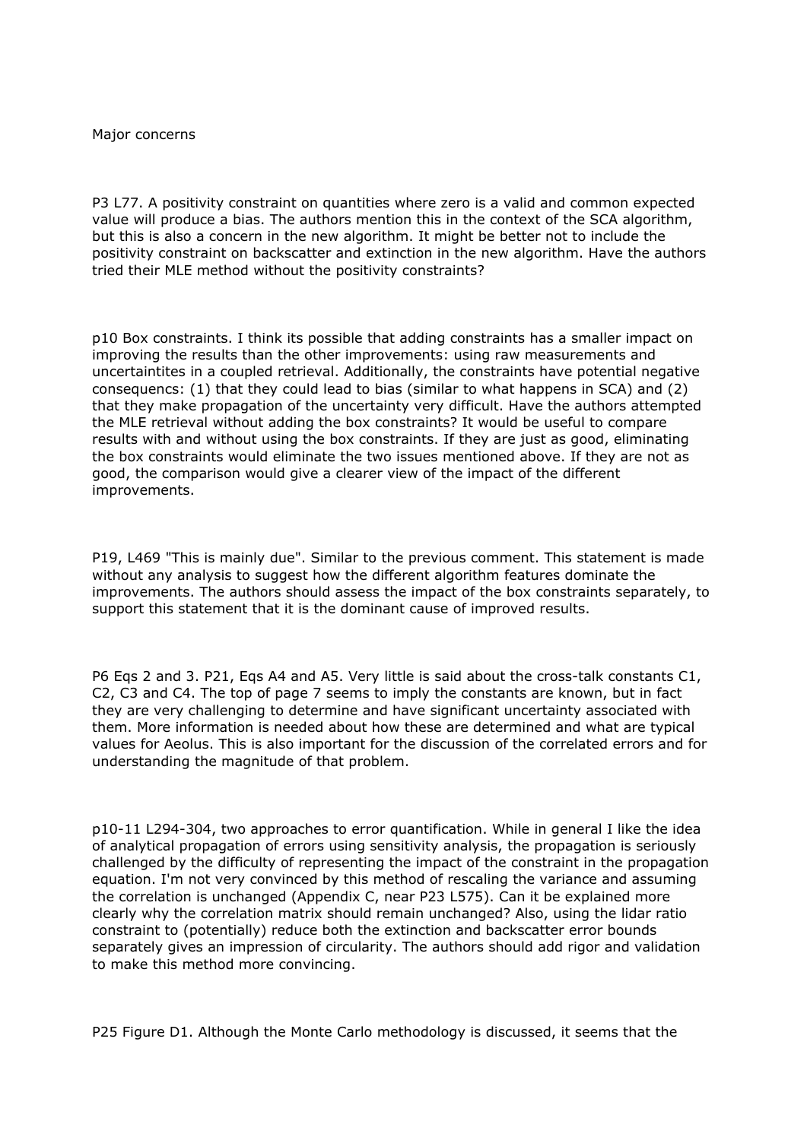## Major concerns

P3 L77. A positivity constraint on quantities where zero is a valid and common expected value will produce a bias. The authors mention this in the context of the SCA algorithm, but this is also a concern in the new algorithm. It might be better not to include the positivity constraint on backscatter and extinction in the new algorithm. Have the authors tried their MLE method without the positivity constraints?

p10 Box constraints. I think its possible that adding constraints has a smaller impact on improving the results than the other improvements: using raw measurements and uncertaintites in a coupled retrieval. Additionally, the constraints have potential negative consequencs: (1) that they could lead to bias (similar to what happens in SCA) and (2) that they make propagation of the uncertainty very difficult. Have the authors attempted the MLE retrieval without adding the box constraints? It would be useful to compare results with and without using the box constraints. If they are just as good, eliminating the box constraints would eliminate the two issues mentioned above. If they are not as good, the comparison would give a clearer view of the impact of the different improvements.

P19, L469 "This is mainly due". Similar to the previous comment. This statement is made without any analysis to suggest how the different algorithm features dominate the improvements. The authors should assess the impact of the box constraints separately, to support this statement that it is the dominant cause of improved results.

P6 Eqs 2 and 3. P21, Eqs A4 and A5. Very little is said about the cross-talk constants C1, C2, C3 and C4. The top of page 7 seems to imply the constants are known, but in fact they are very challenging to determine and have significant uncertainty associated with them. More information is needed about how these are determined and what are typical values for Aeolus. This is also important for the discussion of the correlated errors and for understanding the magnitude of that problem.

p10-11 L294-304, two approaches to error quantification. While in general I like the idea of analytical propagation of errors using sensitivity analysis, the propagation is seriously challenged by the difficulty of representing the impact of the constraint in the propagation equation. I'm not very convinced by this method of rescaling the variance and assuming the correlation is unchanged (Appendix C, near P23 L575). Can it be explained more clearly why the correlation matrix should remain unchanged? Also, using the lidar ratio constraint to (potentially) reduce both the extinction and backscatter error bounds separately gives an impression of circularity. The authors should add rigor and validation to make this method more convincing.

P25 Figure D1. Although the Monte Carlo methodology is discussed, it seems that the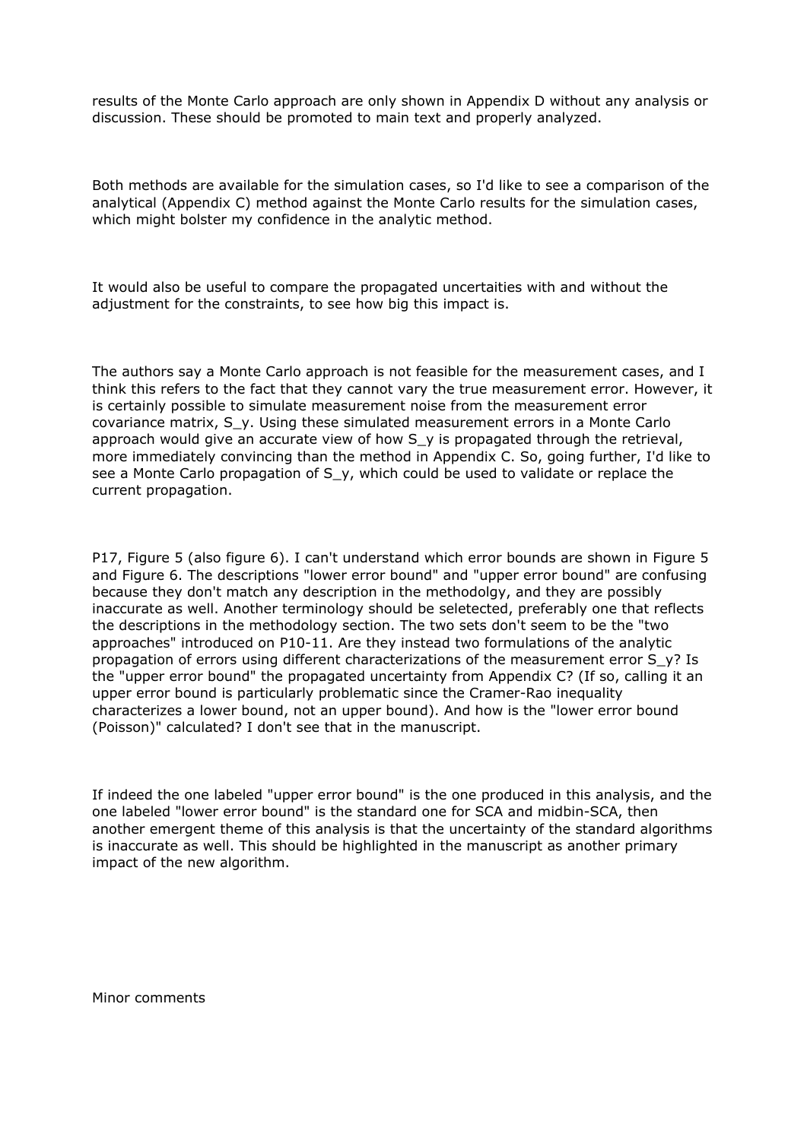results of the Monte Carlo approach are only shown in Appendix D without any analysis or discussion. These should be promoted to main text and properly analyzed.

Both methods are available for the simulation cases, so I'd like to see a comparison of the analytical (Appendix C) method against the Monte Carlo results for the simulation cases, which might bolster my confidence in the analytic method.

It would also be useful to compare the propagated uncertaities with and without the adjustment for the constraints, to see how big this impact is.

The authors say a Monte Carlo approach is not feasible for the measurement cases, and I think this refers to the fact that they cannot vary the true measurement error. However, it is certainly possible to simulate measurement noise from the measurement error covariance matrix, S\_y. Using these simulated measurement errors in a Monte Carlo approach would give an accurate view of how  $S_y$  is propagated through the retrieval, more immediately convincing than the method in Appendix C. So, going further, I'd like to see a Monte Carlo propagation of S\_y, which could be used to validate or replace the current propagation.

P17, Figure 5 (also figure 6). I can't understand which error bounds are shown in Figure 5 and Figure 6. The descriptions "lower error bound" and "upper error bound" are confusing because they don't match any description in the methodolgy, and they are possibly inaccurate as well. Another terminology should be seletected, preferably one that reflects the descriptions in the methodology section. The two sets don't seem to be the "two approaches" introduced on P10-11. Are they instead two formulations of the analytic propagation of errors using different characterizations of the measurement error S\_y? Is the "upper error bound" the propagated uncertainty from Appendix C? (If so, calling it an upper error bound is particularly problematic since the Cramer-Rao inequality characterizes a lower bound, not an upper bound). And how is the "lower error bound (Poisson)" calculated? I don't see that in the manuscript.

If indeed the one labeled "upper error bound" is the one produced in this analysis, and the one labeled "lower error bound" is the standard one for SCA and midbin-SCA, then another emergent theme of this analysis is that the uncertainty of the standard algorithms is inaccurate as well. This should be highlighted in the manuscript as another primary impact of the new algorithm.

Minor comments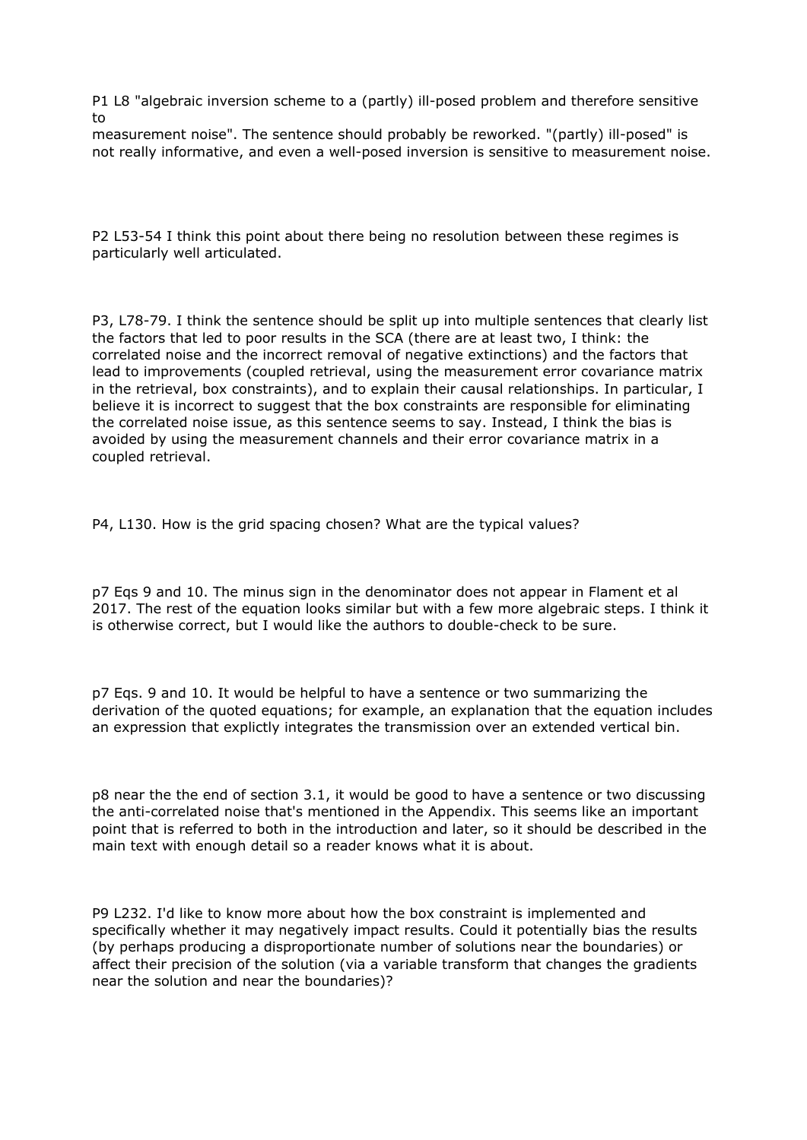P1 L8 "algebraic inversion scheme to a (partly) ill-posed problem and therefore sensitive to

measurement noise". The sentence should probably be reworked. "(partly) ill-posed" is not really informative, and even a well-posed inversion is sensitive to measurement noise.

P2 L53-54 I think this point about there being no resolution between these regimes is particularly well articulated.

P3, L78-79. I think the sentence should be split up into multiple sentences that clearly list the factors that led to poor results in the SCA (there are at least two, I think: the correlated noise and the incorrect removal of negative extinctions) and the factors that lead to improvements (coupled retrieval, using the measurement error covariance matrix in the retrieval, box constraints), and to explain their causal relationships. In particular, I believe it is incorrect to suggest that the box constraints are responsible for eliminating the correlated noise issue, as this sentence seems to say. Instead, I think the bias is avoided by using the measurement channels and their error covariance matrix in a coupled retrieval.

P4, L130. How is the grid spacing chosen? What are the typical values?

p7 Eqs 9 and 10. The minus sign in the denominator does not appear in Flament et al 2017. The rest of the equation looks similar but with a few more algebraic steps. I think it is otherwise correct, but I would like the authors to double-check to be sure.

p7 Eqs. 9 and 10. It would be helpful to have a sentence or two summarizing the derivation of the quoted equations; for example, an explanation that the equation includes an expression that explictly integrates the transmission over an extended vertical bin.

p8 near the the end of section 3.1, it would be good to have a sentence or two discussing the anti-correlated noise that's mentioned in the Appendix. This seems like an important point that is referred to both in the introduction and later, so it should be described in the main text with enough detail so a reader knows what it is about.

P9 L232. I'd like to know more about how the box constraint is implemented and specifically whether it may negatively impact results. Could it potentially bias the results (by perhaps producing a disproportionate number of solutions near the boundaries) or affect their precision of the solution (via a variable transform that changes the gradients near the solution and near the boundaries)?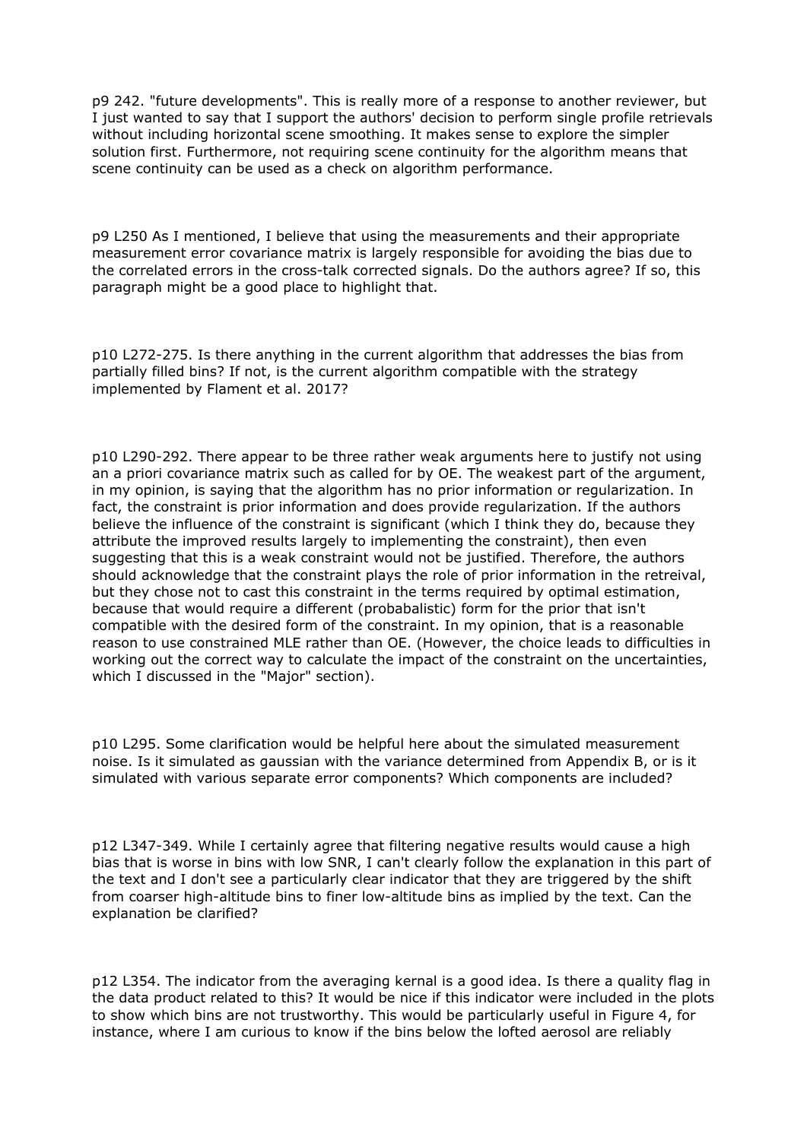p9 242. "future developments". This is really more of a response to another reviewer, but I just wanted to say that I support the authors' decision to perform single profile retrievals without including horizontal scene smoothing. It makes sense to explore the simpler solution first. Furthermore, not requiring scene continuity for the algorithm means that scene continuity can be used as a check on algorithm performance.

p9 L250 As I mentioned, I believe that using the measurements and their appropriate measurement error covariance matrix is largely responsible for avoiding the bias due to the correlated errors in the cross-talk corrected signals. Do the authors agree? If so, this paragraph might be a good place to highlight that.

p10 L272-275. Is there anything in the current algorithm that addresses the bias from partially filled bins? If not, is the current algorithm compatible with the strategy implemented by Flament et al. 2017?

p10 L290-292. There appear to be three rather weak arguments here to justify not using an a priori covariance matrix such as called for by OE. The weakest part of the argument, in my opinion, is saying that the algorithm has no prior information or regularization. In fact, the constraint is prior information and does provide regularization. If the authors believe the influence of the constraint is significant (which I think they do, because they attribute the improved results largely to implementing the constraint), then even suggesting that this is a weak constraint would not be justified. Therefore, the authors should acknowledge that the constraint plays the role of prior information in the retreival, but they chose not to cast this constraint in the terms required by optimal estimation, because that would require a different (probabalistic) form for the prior that isn't compatible with the desired form of the constraint. In my opinion, that is a reasonable reason to use constrained MLE rather than OE. (However, the choice leads to difficulties in working out the correct way to calculate the impact of the constraint on the uncertainties, which I discussed in the "Major" section).

p10 L295. Some clarification would be helpful here about the simulated measurement noise. Is it simulated as gaussian with the variance determined from Appendix B, or is it simulated with various separate error components? Which components are included?

p12 L347-349. While I certainly agree that filtering negative results would cause a high bias that is worse in bins with low SNR, I can't clearly follow the explanation in this part of the text and I don't see a particularly clear indicator that they are triggered by the shift from coarser high-altitude bins to finer low-altitude bins as implied by the text. Can the explanation be clarified?

p12 L354. The indicator from the averaging kernal is a good idea. Is there a quality flag in the data product related to this? It would be nice if this indicator were included in the plots to show which bins are not trustworthy. This would be particularly useful in Figure 4, for instance, where I am curious to know if the bins below the lofted aerosol are reliably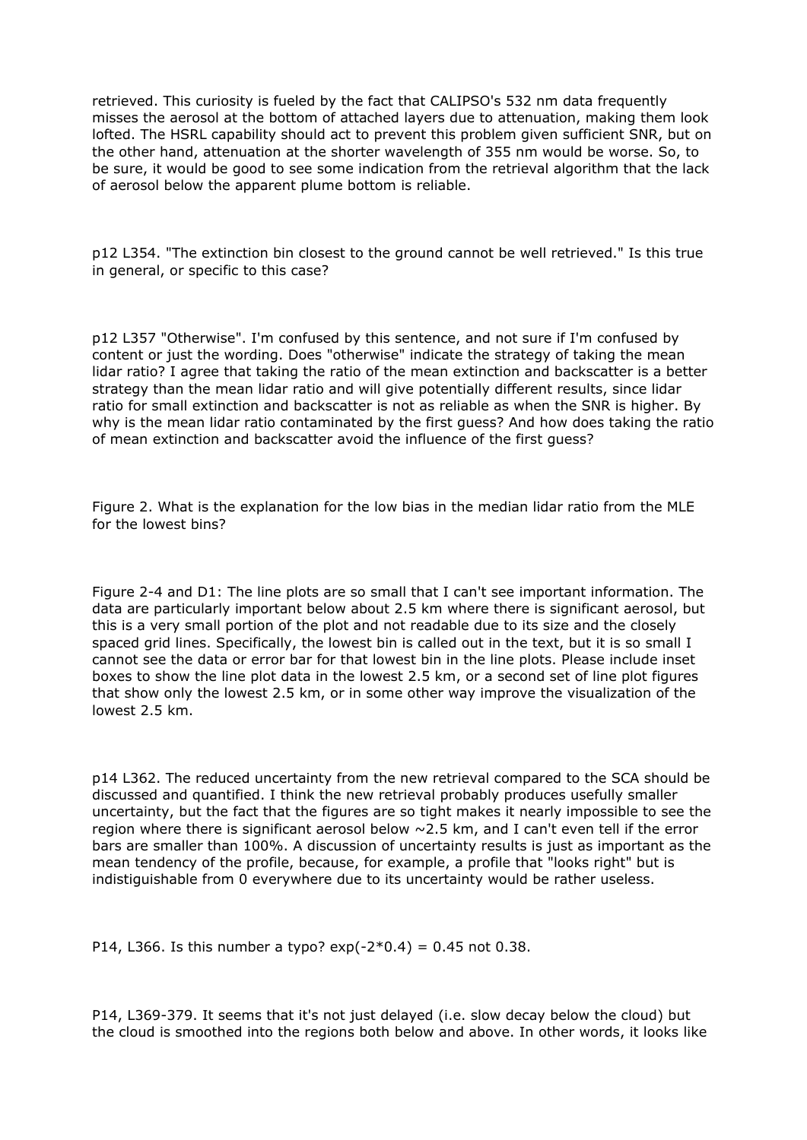retrieved. This curiosity is fueled by the fact that CALIPSO's 532 nm data frequently misses the aerosol at the bottom of attached layers due to attenuation, making them look lofted. The HSRL capability should act to prevent this problem given sufficient SNR, but on the other hand, attenuation at the shorter wavelength of 355 nm would be worse. So, to be sure, it would be good to see some indication from the retrieval algorithm that the lack of aerosol below the apparent plume bottom is reliable.

p12 L354. "The extinction bin closest to the ground cannot be well retrieved." Is this true in general, or specific to this case?

p12 L357 "Otherwise". I'm confused by this sentence, and not sure if I'm confused by content or just the wording. Does "otherwise" indicate the strategy of taking the mean lidar ratio? I agree that taking the ratio of the mean extinction and backscatter is a better strategy than the mean lidar ratio and will give potentially different results, since lidar ratio for small extinction and backscatter is not as reliable as when the SNR is higher. By why is the mean lidar ratio contaminated by the first guess? And how does taking the ratio of mean extinction and backscatter avoid the influence of the first guess?

Figure 2. What is the explanation for the low bias in the median lidar ratio from the MLE for the lowest bins?

Figure 2-4 and D1: The line plots are so small that I can't see important information. The data are particularly important below about 2.5 km where there is significant aerosol, but this is a very small portion of the plot and not readable due to its size and the closely spaced grid lines. Specifically, the lowest bin is called out in the text, but it is so small I cannot see the data or error bar for that lowest bin in the line plots. Please include inset boxes to show the line plot data in the lowest 2.5 km, or a second set of line plot figures that show only the lowest 2.5 km, or in some other way improve the visualization of the lowest 2.5 km.

p14 L362. The reduced uncertainty from the new retrieval compared to the SCA should be discussed and quantified. I think the new retrieval probably produces usefully smaller uncertainty, but the fact that the figures are so tight makes it nearly impossible to see the region where there is significant aerosol below  $\sim$  2.5 km, and I can't even tell if the error bars are smaller than 100%. A discussion of uncertainty results is just as important as the mean tendency of the profile, because, for example, a profile that "looks right" but is indistiguishable from 0 everywhere due to its uncertainty would be rather useless.

P14, L366. Is this number a typo?  $exp(-2*0.4) = 0.45$  not 0.38.

P14, L369-379. It seems that it's not just delayed (i.e. slow decay below the cloud) but the cloud is smoothed into the regions both below and above. In other words, it looks like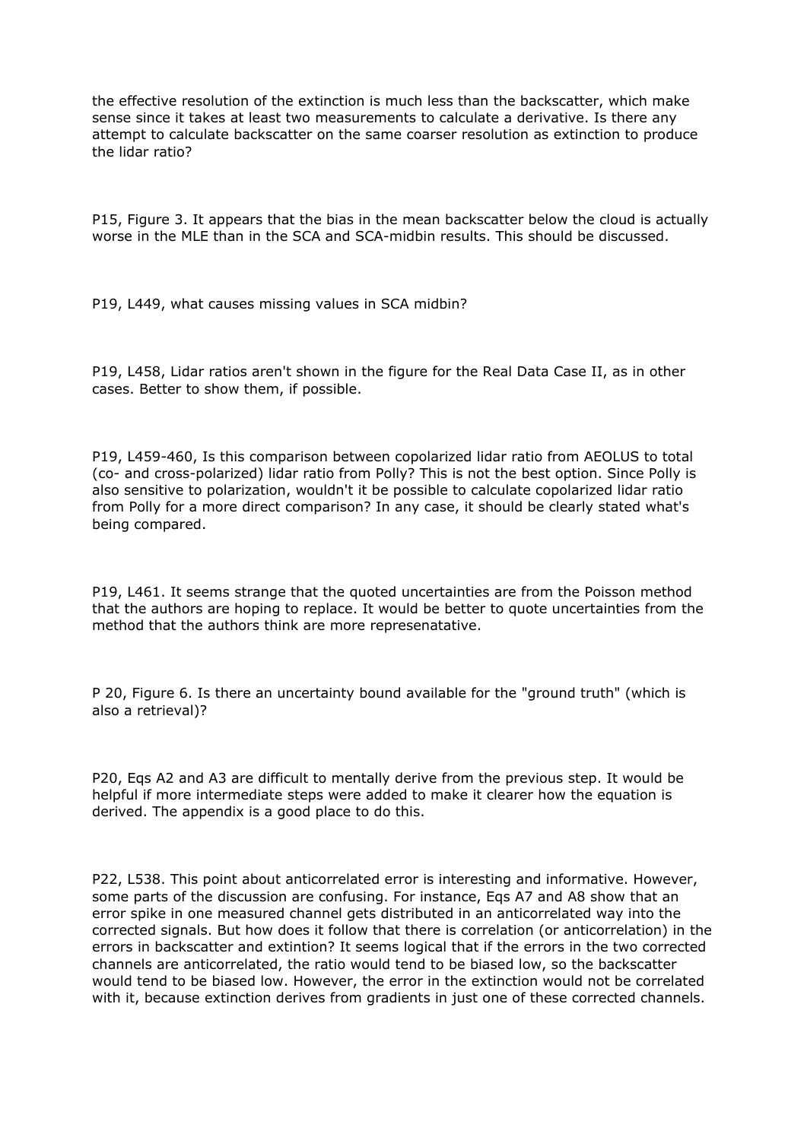the effective resolution of the extinction is much less than the backscatter, which make sense since it takes at least two measurements to calculate a derivative. Is there any attempt to calculate backscatter on the same coarser resolution as extinction to produce the lidar ratio?

P15, Figure 3. It appears that the bias in the mean backscatter below the cloud is actually worse in the MLE than in the SCA and SCA-midbin results. This should be discussed.

P19, L449, what causes missing values in SCA midbin?

P19, L458, Lidar ratios aren't shown in the figure for the Real Data Case II, as in other cases. Better to show them, if possible.

P19, L459-460, Is this comparison between copolarized lidar ratio from AEOLUS to total (co- and cross-polarized) lidar ratio from Polly? This is not the best option. Since Polly is also sensitive to polarization, wouldn't it be possible to calculate copolarized lidar ratio from Polly for a more direct comparison? In any case, it should be clearly stated what's being compared.

P19, L461. It seems strange that the quoted uncertainties are from the Poisson method that the authors are hoping to replace. It would be better to quote uncertainties from the method that the authors think are more represenatative.

P 20, Figure 6. Is there an uncertainty bound available for the "ground truth" (which is also a retrieval)?

P20, Eqs A2 and A3 are difficult to mentally derive from the previous step. It would be helpful if more intermediate steps were added to make it clearer how the equation is derived. The appendix is a good place to do this.

P22, L538. This point about anticorrelated error is interesting and informative. However, some parts of the discussion are confusing. For instance, Eqs A7 and A8 show that an error spike in one measured channel gets distributed in an anticorrelated way into the corrected signals. But how does it follow that there is correlation (or anticorrelation) in the errors in backscatter and extintion? It seems logical that if the errors in the two corrected channels are anticorrelated, the ratio would tend to be biased low, so the backscatter would tend to be biased low. However, the error in the extinction would not be correlated with it, because extinction derives from gradients in just one of these corrected channels.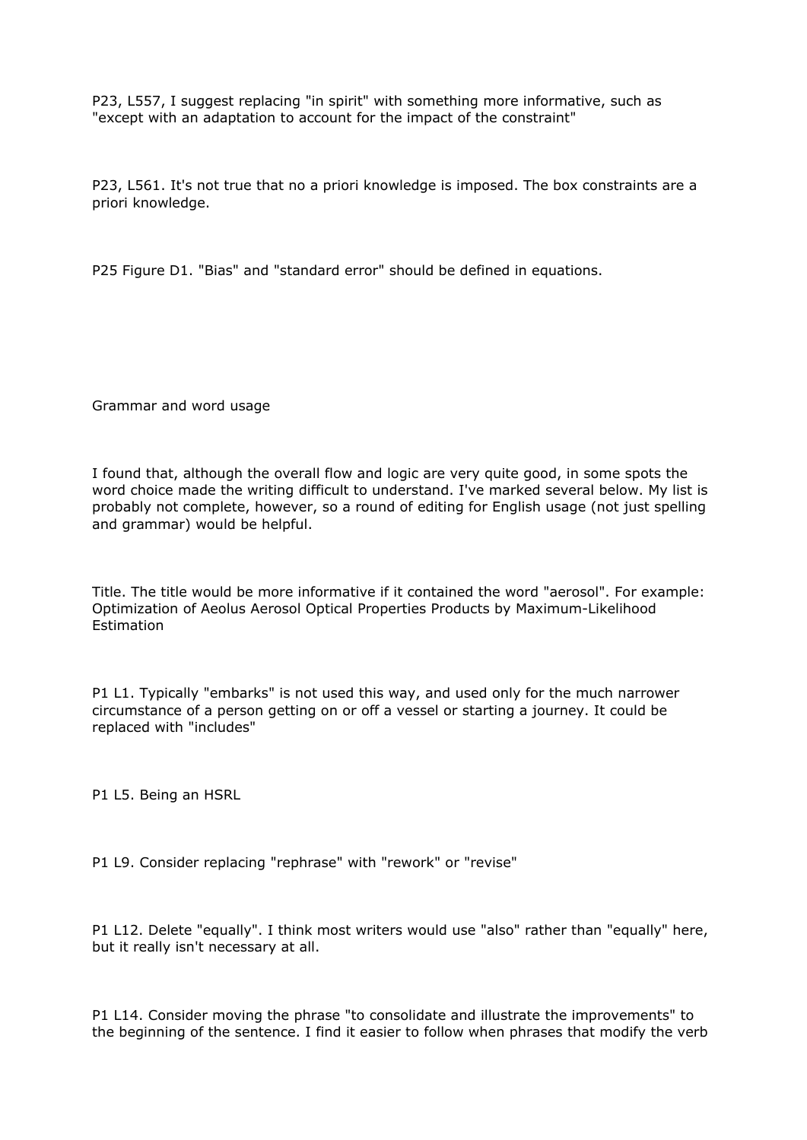P23, L557, I suggest replacing "in spirit" with something more informative, such as "except with an adaptation to account for the impact of the constraint"

P23, L561. It's not true that no a priori knowledge is imposed. The box constraints are a priori knowledge.

P25 Figure D1. "Bias" and "standard error" should be defined in equations.

Grammar and word usage

I found that, although the overall flow and logic are very quite good, in some spots the word choice made the writing difficult to understand. I've marked several below. My list is probably not complete, however, so a round of editing for English usage (not just spelling and grammar) would be helpful.

Title. The title would be more informative if it contained the word "aerosol". For example: Optimization of Aeolus Aerosol Optical Properties Products by Maximum-Likelihood **Estimation** 

P1 L1. Typically "embarks" is not used this way, and used only for the much narrower circumstance of a person getting on or off a vessel or starting a journey. It could be replaced with "includes"

P1 L5. Being an HSRL

P1 L9. Consider replacing "rephrase" with "rework" or "revise"

P1 L12. Delete "equally". I think most writers would use "also" rather than "equally" here, but it really isn't necessary at all.

P1 L14. Consider moving the phrase "to consolidate and illustrate the improvements" to the beginning of the sentence. I find it easier to follow when phrases that modify the verb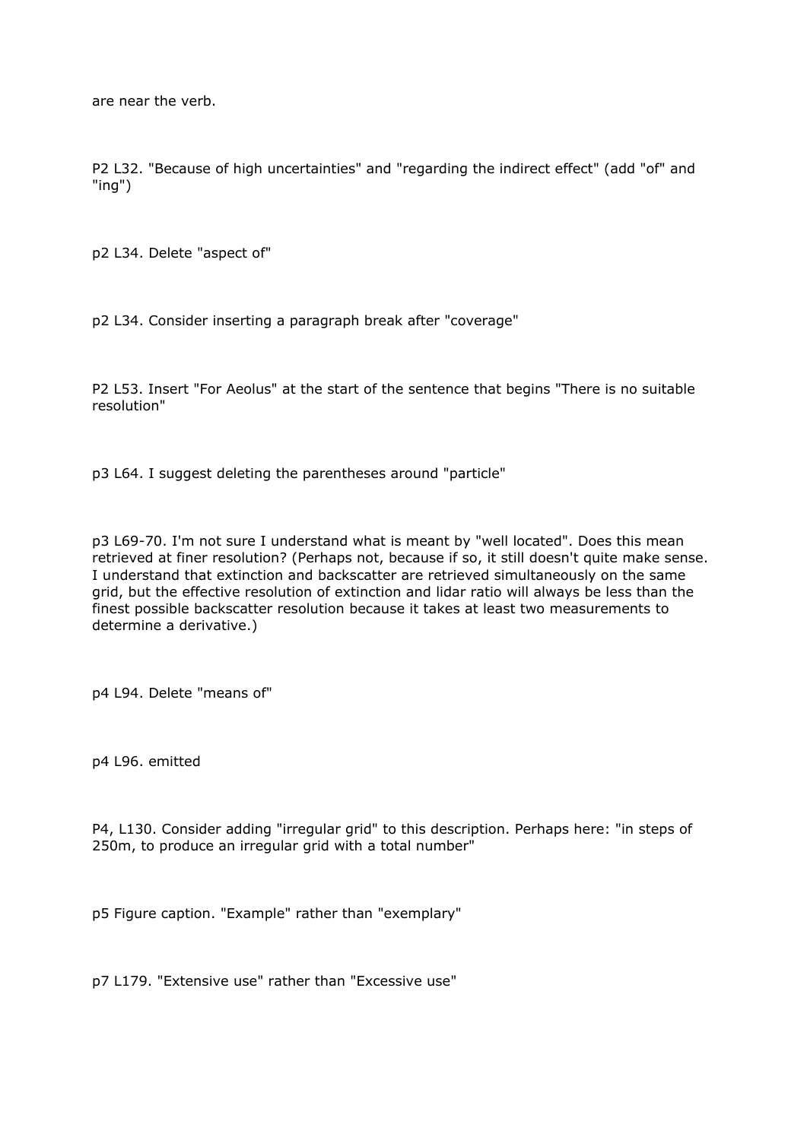are near the verb.

P2 L32. "Because of high uncertainties" and "regarding the indirect effect" (add "of" and "ing")

p2 L34. Delete "aspect of"

p2 L34. Consider inserting a paragraph break after "coverage"

P2 L53. Insert "For Aeolus" at the start of the sentence that begins "There is no suitable resolution"

p3 L64. I suggest deleting the parentheses around "particle"

p3 L69-70. I'm not sure I understand what is meant by "well located". Does this mean retrieved at finer resolution? (Perhaps not, because if so, it still doesn't quite make sense. I understand that extinction and backscatter are retrieved simultaneously on the same grid, but the effective resolution of extinction and lidar ratio will always be less than the finest possible backscatter resolution because it takes at least two measurements to determine a derivative.)

p4 L94. Delete "means of"

p4 L96. emitted

P4, L130. Consider adding "irregular grid" to this description. Perhaps here: "in steps of 250m, to produce an irregular grid with a total number"

p5 Figure caption. "Example" rather than "exemplary"

p7 L179. "Extensive use" rather than "Excessive use"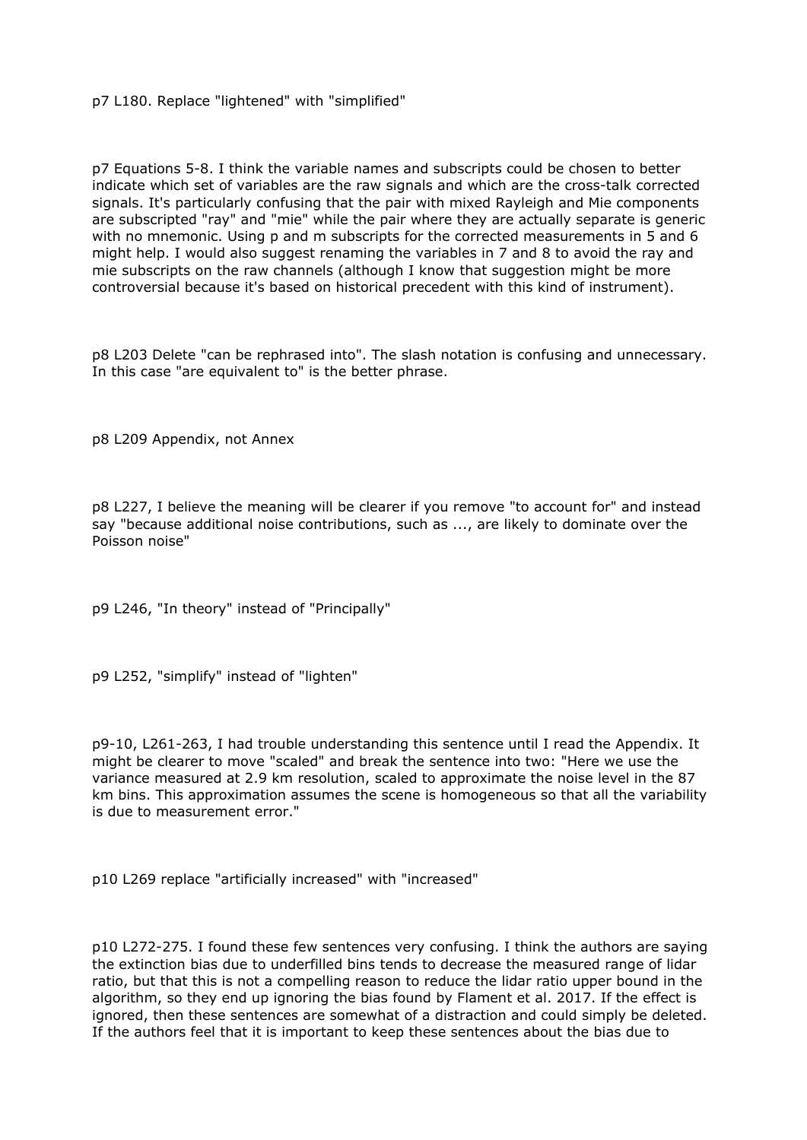p7 L180. Replace "lightened" with "simplified"

p7 Equations 5-8. I think the variable names and subscripts could be chosen to better indicate which set of variables are the raw signals and which are the cross-talk corrected signals. It's particularly confusing that the pair with mixed Rayleigh and Mie components are subscripted "ray" and "mie" while the pair where they are actually separate is generic with no mnemonic. Using p and m subscripts for the corrected measurements in 5 and 6 might help. I would also suggest renaming the variables in 7 and 8 to avoid the ray and mie subscripts on the raw channels (although I know that suggestion might be more controversial because it's based on historical precedent with this kind of instrument).

p8 L203 Delete "can be rephrased into". The slash notation is confusing and unnecessary. In this case "are equivalent to" is the better phrase.

p8 L209 Appendix, not Annex

p8 L227, I believe the meaning will be clearer if you remove "to account for" and instead say "because additional noise contributions, such as ..., are likely to dominate over the Poisson noise"

p9 L246, "In theory" instead of "Principally"

p9 L252, "simplify" instead of "lighten"

p9-10, L261-263, I had trouble understanding this sentence until I read the Appendix. It might be clearer to move "scaled" and break the sentence into two: "Here we use the variance measured at 2.9 km resolution, scaled to approximate the noise level in the 87 km bins. This approximation assumes the scene is homogeneous so that all the variability is due to measurement error."

p10 L269 replace "artificially increased" with "increased"

p10 L272-275. I found these few sentences very confusing. I think the authors are saying the extinction bias due to underfilled bins tends to decrease the measured range of lidar ratio, but that this is not a compelling reason to reduce the lidar ratio upper bound in the algorithm, so they end up ignoring the bias found by Flament et al. 2017. If the effect is ignored, then these sentences are somewhat of a distraction and could simply be deleted. If the authors feel that it is important to keep these sentences about the bias due to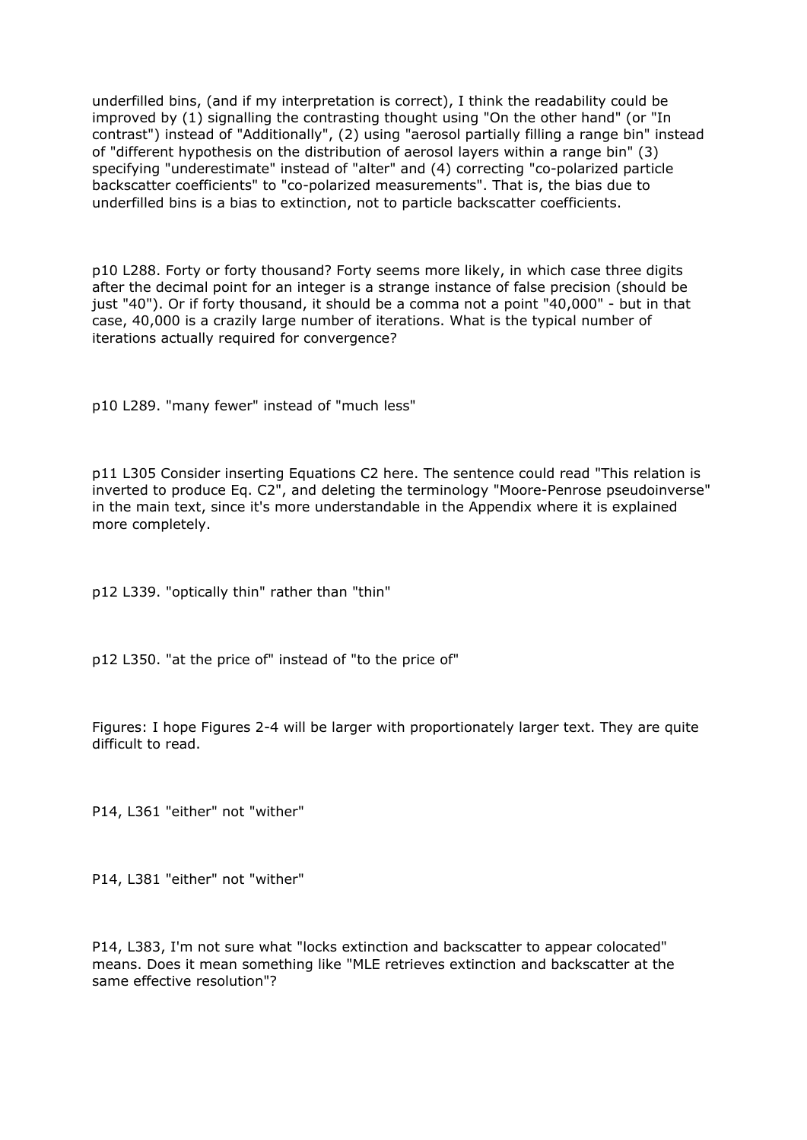underfilled bins, (and if my interpretation is correct), I think the readability could be improved by (1) signalling the contrasting thought using "On the other hand" (or "In contrast") instead of "Additionally", (2) using "aerosol partially filling a range bin" instead of "different hypothesis on the distribution of aerosol layers within a range bin" (3) specifying "underestimate" instead of "alter" and (4) correcting "co-polarized particle backscatter coefficients" to "co-polarized measurements". That is, the bias due to underfilled bins is a bias to extinction, not to particle backscatter coefficients.

p10 L288. Forty or forty thousand? Forty seems more likely, in which case three digits after the decimal point for an integer is a strange instance of false precision (should be just "40"). Or if forty thousand, it should be a comma not a point "40,000" - but in that case, 40,000 is a crazily large number of iterations. What is the typical number of iterations actually required for convergence?

p10 L289. "many fewer" instead of "much less"

p11 L305 Consider inserting Equations C2 here. The sentence could read "This relation is inverted to produce Eq. C2", and deleting the terminology "Moore-Penrose pseudoinverse" in the main text, since it's more understandable in the Appendix where it is explained more completely.

p12 L339. "optically thin" rather than "thin"

p12 L350. "at the price of" instead of "to the price of"

Figures: I hope Figures 2-4 will be larger with proportionately larger text. They are quite difficult to read.

P14, L361 "either" not "wither"

P14, L381 "either" not "wither"

P14, L383, I'm not sure what "locks extinction and backscatter to appear colocated" means. Does it mean something like "MLE retrieves extinction and backscatter at the same effective resolution"?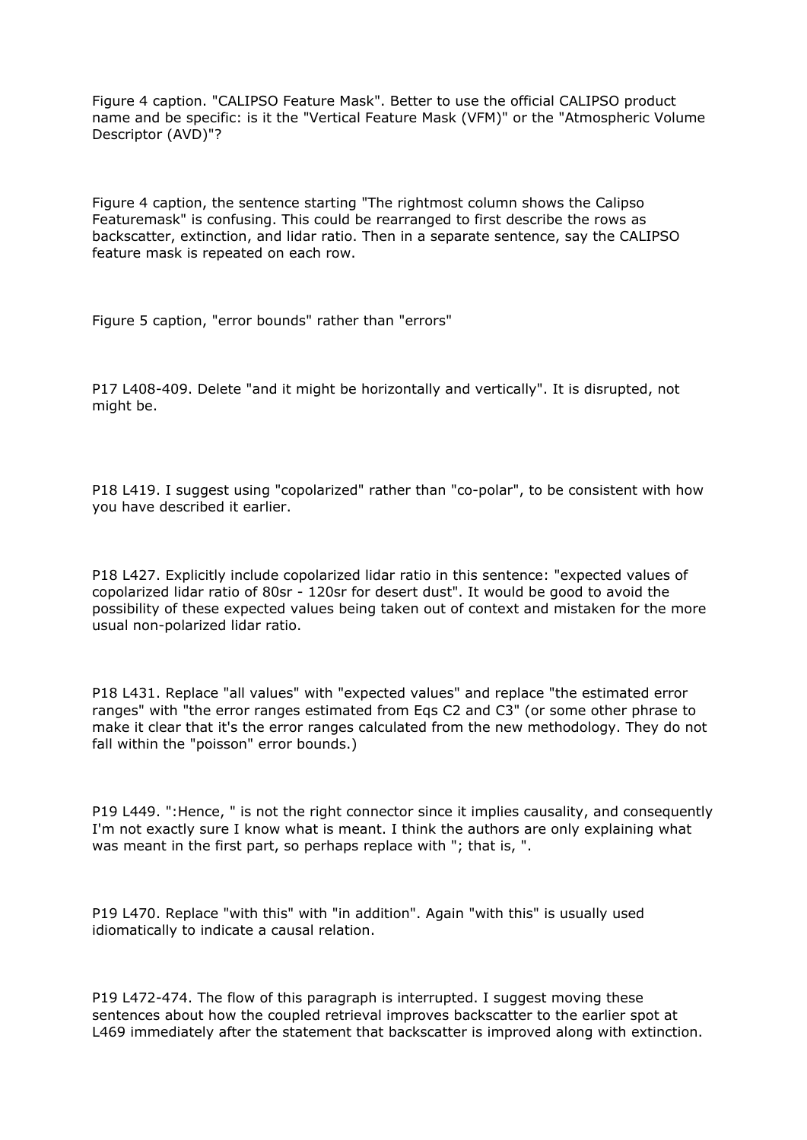Figure 4 caption. "CALIPSO Feature Mask". Better to use the official CALIPSO product name and be specific: is it the "Vertical Feature Mask (VFM)" or the "Atmospheric Volume Descriptor (AVD)"?

Figure 4 caption, the sentence starting "The rightmost column shows the Calipso Featuremask" is confusing. This could be rearranged to first describe the rows as backscatter, extinction, and lidar ratio. Then in a separate sentence, say the CALIPSO feature mask is repeated on each row.

Figure 5 caption, "error bounds" rather than "errors"

P17 L408-409. Delete "and it might be horizontally and vertically". It is disrupted, not might be.

P18 L419. I suggest using "copolarized" rather than "co-polar", to be consistent with how you have described it earlier.

P18 L427. Explicitly include copolarized lidar ratio in this sentence: "expected values of copolarized lidar ratio of 80sr - 120sr for desert dust". It would be good to avoid the possibility of these expected values being taken out of context and mistaken for the more usual non-polarized lidar ratio.

P18 L431. Replace "all values" with "expected values" and replace "the estimated error ranges" with "the error ranges estimated from Eqs C2 and C3" (or some other phrase to make it clear that it's the error ranges calculated from the new methodology. They do not fall within the "poisson" error bounds.)

P19 L449. ":Hence, " is not the right connector since it implies causality, and consequently I'm not exactly sure I know what is meant. I think the authors are only explaining what was meant in the first part, so perhaps replace with "; that is, ".

P19 L470. Replace "with this" with "in addition". Again "with this" is usually used idiomatically to indicate a causal relation.

P19 L472-474. The flow of this paragraph is interrupted. I suggest moving these sentences about how the coupled retrieval improves backscatter to the earlier spot at L469 immediately after the statement that backscatter is improved along with extinction.